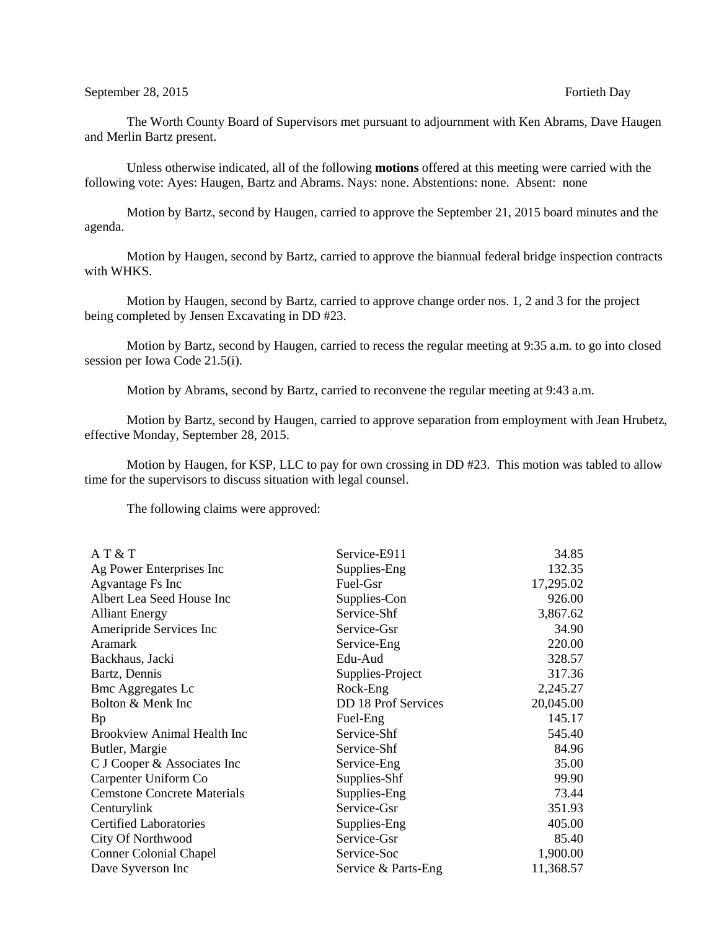The Worth County Board of Supervisors met pursuant to adjournment with Ken Abrams, Dave Haugen and Merlin Bartz present.

Unless otherwise indicated, all of the following **motions** offered at this meeting were carried with the following vote: Ayes: Haugen, Bartz and Abrams. Nays: none. Abstentions: none. Absent: none

Motion by Bartz, second by Haugen, carried to approve the September 21, 2015 board minutes and the agenda.

Motion by Haugen, second by Bartz, carried to approve the biannual federal bridge inspection contracts with WHKS.

Motion by Haugen, second by Bartz, carried to approve change order nos. 1, 2 and 3 for the project being completed by Jensen Excavating in DD #23.

Motion by Bartz, second by Haugen, carried to recess the regular meeting at 9:35 a.m. to go into closed session per Iowa Code 21.5(i).

Motion by Abrams, second by Bartz, carried to reconvene the regular meeting at 9:43 a.m.

Motion by Bartz, second by Haugen, carried to approve separation from employment with Jean Hrubetz, effective Monday, September 28, 2015.

Motion by Haugen, for KSP, LLC to pay for own crossing in DD #23. This motion was tabled to allow time for the supervisors to discuss situation with legal counsel.

The following claims were approved:

| AT & T                             | Service-E911               | 34.85     |
|------------------------------------|----------------------------|-----------|
| Ag Power Enterprises Inc           | Supplies-Eng               | 132.35    |
| Agvantage Fs Inc                   | Fuel-Gsr                   | 17,295.02 |
| Albert Lea Seed House Inc          | Supplies-Con               | 926.00    |
| <b>Alliant Energy</b>              | Service-Shf                | 3,867.62  |
| Ameripride Services Inc            | Service-Gsr                | 34.90     |
| Aramark                            | Service-Eng                | 220.00    |
| Backhaus, Jacki                    | Edu-Aud                    | 328.57    |
| Bartz, Dennis                      | Supplies-Project           | 317.36    |
| <b>Bmc Aggregates Lc</b>           | Rock-Eng                   | 2,245.27  |
| Bolton & Menk Inc                  | <b>DD 18 Prof Services</b> | 20,045.00 |
| Bp                                 | Fuel-Eng                   | 145.17    |
| <b>Brookview Animal Health Inc</b> | Service-Shf                | 545.40    |
| Butler, Margie                     | Service-Shf                | 84.96     |
| C J Cooper & Associates Inc        | Service-Eng                | 35.00     |
| Carpenter Uniform Co               | Supplies-Shf               | 99.90     |
| <b>Cemstone Concrete Materials</b> | Supplies-Eng               | 73.44     |
| Centurylink                        | Service-Gsr                | 351.93    |
| <b>Certified Laboratories</b>      | Supplies-Eng               | 405.00    |
| City Of Northwood                  | Service-Gsr                | 85.40     |
| <b>Conner Colonial Chapel</b>      | Service-Soc                | 1,900.00  |
| Dave Syverson Inc                  | Service & Parts-Eng        | 11,368.57 |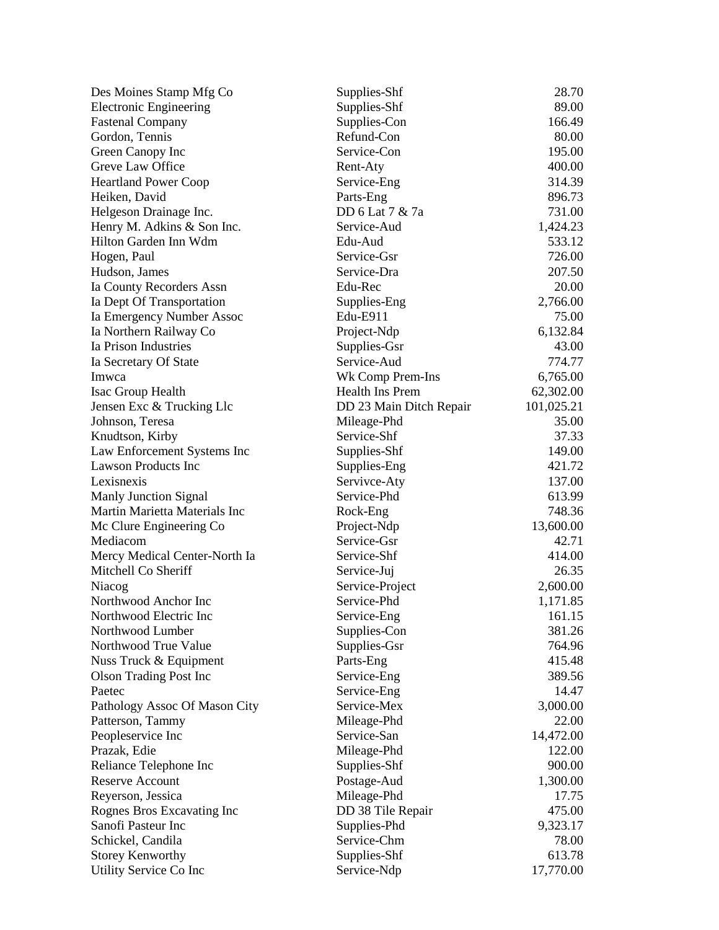| Des Moines Stamp Mfg Co       | Supplies-Shf            | 28.70      |
|-------------------------------|-------------------------|------------|
| <b>Electronic Engineering</b> | Supplies-Shf            | 89.00      |
| <b>Fastenal Company</b>       | Supplies-Con            | 166.49     |
| Gordon, Tennis                | Refund-Con              | 80.00      |
| Green Canopy Inc              | Service-Con             | 195.00     |
| Greve Law Office              | Rent-Aty                | 400.00     |
| <b>Heartland Power Coop</b>   | Service-Eng             | 314.39     |
| Heiken, David                 | Parts-Eng               | 896.73     |
| Helgeson Drainage Inc.        | DD 6 Lat 7 & 7a         | 731.00     |
| Henry M. Adkins & Son Inc.    | Service-Aud             | 1,424.23   |
| Hilton Garden Inn Wdm         | Edu-Aud                 | 533.12     |
| Hogen, Paul                   | Service-Gsr             | 726.00     |
| Hudson, James                 | Service-Dra             | 207.50     |
| Ia County Recorders Assn      | Edu-Rec                 | 20.00      |
| Ia Dept Of Transportation     | Supplies-Eng            | 2,766.00   |
| Ia Emergency Number Assoc     | Edu-E911                | 75.00      |
| Ia Northern Railway Co        | Project-Ndp             | 6,132.84   |
| Ia Prison Industries          | Supplies-Gsr            | 43.00      |
| Ia Secretary Of State         | Service-Aud             | 774.77     |
| Imwca                         | Wk Comp Prem-Ins        | 6,765.00   |
| Isac Group Health             | Health Ins Prem         | 62,302.00  |
| Jensen Exc & Trucking Llc     | DD 23 Main Ditch Repair | 101,025.21 |
| Johnson, Teresa               | Mileage-Phd             | 35.00      |
| Knudtson, Kirby               | Service-Shf             | 37.33      |
| Law Enforcement Systems Inc   | Supplies-Shf            | 149.00     |
| <b>Lawson Products Inc</b>    | Supplies-Eng            | 421.72     |
| Lexisnexis                    | Servivce-Aty            | 137.00     |
| Manly Junction Signal         | Service-Phd             | 613.99     |
| Martin Marietta Materials Inc | Rock-Eng                | 748.36     |
| Mc Clure Engineering Co       | Project-Ndp             | 13,600.00  |
| Mediacom                      | Service-Gsr             | 42.71      |
| Mercy Medical Center-North Ia | Service-Shf             | 414.00     |
| Mitchell Co Sheriff           | Service-Juj             | 26.35      |
| Niacog                        | Service-Project         | 2,600.00   |
| Northwood Anchor Inc          | Service-Phd             | 1,171.85   |
| Northwood Electric Inc        | Service-Eng             | 161.15     |
| Northwood Lumber              | Supplies-Con            | 381.26     |
| Northwood True Value          | Supplies-Gsr            | 764.96     |
| Nuss Truck & Equipment        | Parts-Eng               | 415.48     |
| <b>Olson Trading Post Inc</b> | Service-Eng             | 389.56     |
| Paetec                        | Service-Eng             | 14.47      |
| Pathology Assoc Of Mason City | Service-Mex             | 3,000.00   |
| Patterson, Tammy              | Mileage-Phd             | 22.00      |
| Peopleservice Inc             | Service-San             | 14,472.00  |
| Prazak, Edie                  | Mileage-Phd             | 122.00     |
| Reliance Telephone Inc        | Supplies-Shf            | 900.00     |
| <b>Reserve Account</b>        | Postage-Aud             | 1,300.00   |
| Reyerson, Jessica             | Mileage-Phd             | 17.75      |
| Rognes Bros Excavating Inc    | DD 38 Tile Repair       | 475.00     |
| Sanofi Pasteur Inc            | Supplies-Phd            | 9,323.17   |
| Schickel, Candila             | Service-Chm             | 78.00      |
| <b>Storey Kenworthy</b>       | Supplies-Shf            | 613.78     |
| Utility Service Co Inc        | Service-Ndp             | 17,770.00  |
|                               |                         |            |